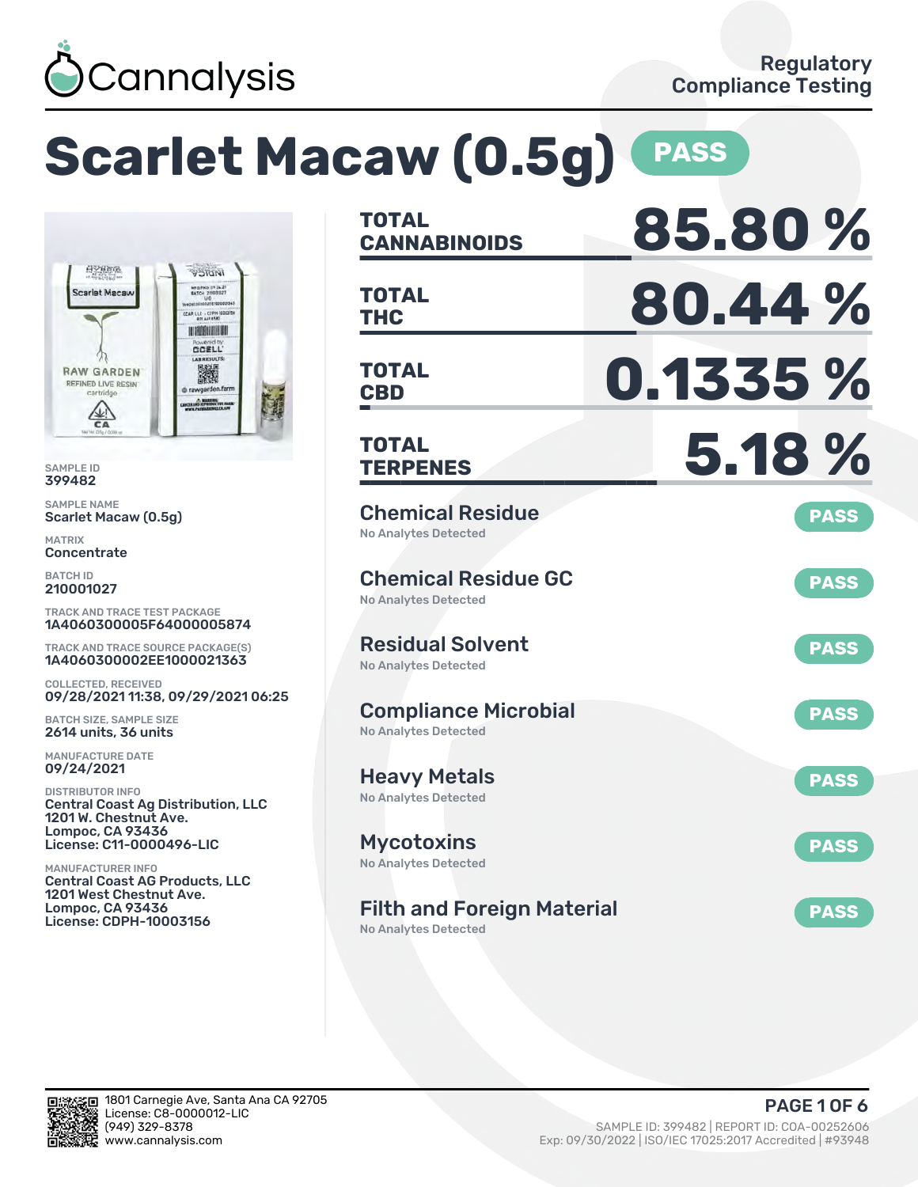

### **Scarlet Macaw (0.5g) PASS TOTAL CANNABINOIDS 85.80 % TOTAL** TOTAL **80.44 % TOTAL CBD 0.1335 % TOTAL TERPENES 5.18 %** Chemical Residue No Analytes Detected **PASS** Chemical Residue GC No Analytes Detected **PASS** Residual Solvent No Analytes Detected **PASS** Compliance Microbial No Analytes Detected **PASS** Heavy Metals No Analytes Detected **PASS** Mycotoxins No Analytes Detected **PASS** Filth and Foreign Material **PASS**

HYBRO **WIDICY** MFG/PKS 092421 **Scarlet Macar** CAR LLC - COPH-1000315 **HISBURGHI GOELL' ERESULTS RAW GARDEN** 讌 **REFINED LIVE RESIN** cartridge A MARKING  $\frac{1}{64}$ 

SAMPLE ID 399482

SAMPLE NAME Scarlet Macaw (0.5g)

MATRIX **Concentrate** 

BATCH ID 210001027

TRACK AND TRACE TEST PACKAGE 1A4060300005F64000005874

TRACK AND TRACE SOURCE PACKAGE(S) 1A4060300002EE1000021363

COLLECTED, RECEIVED 09/28/2021 11:38, 09/29/2021 06:25

BATCH SIZE, SAMPLE SIZE 2614 units, 36 units

MANUFACTURE DATE 09/24/2021

DISTRIBUTOR INFO Central Coast Ag Distribution, LLC 1201 W. Chestnut Ave. Lompoc, CA 93436 License: C11-0000496-LIC

MANUFACTURER INFO Central Coast AG Products, LLC 1201 West Chestnut Ave. Lompoc, CA 93436 License: CDPH-10003156

No Analytes Detected

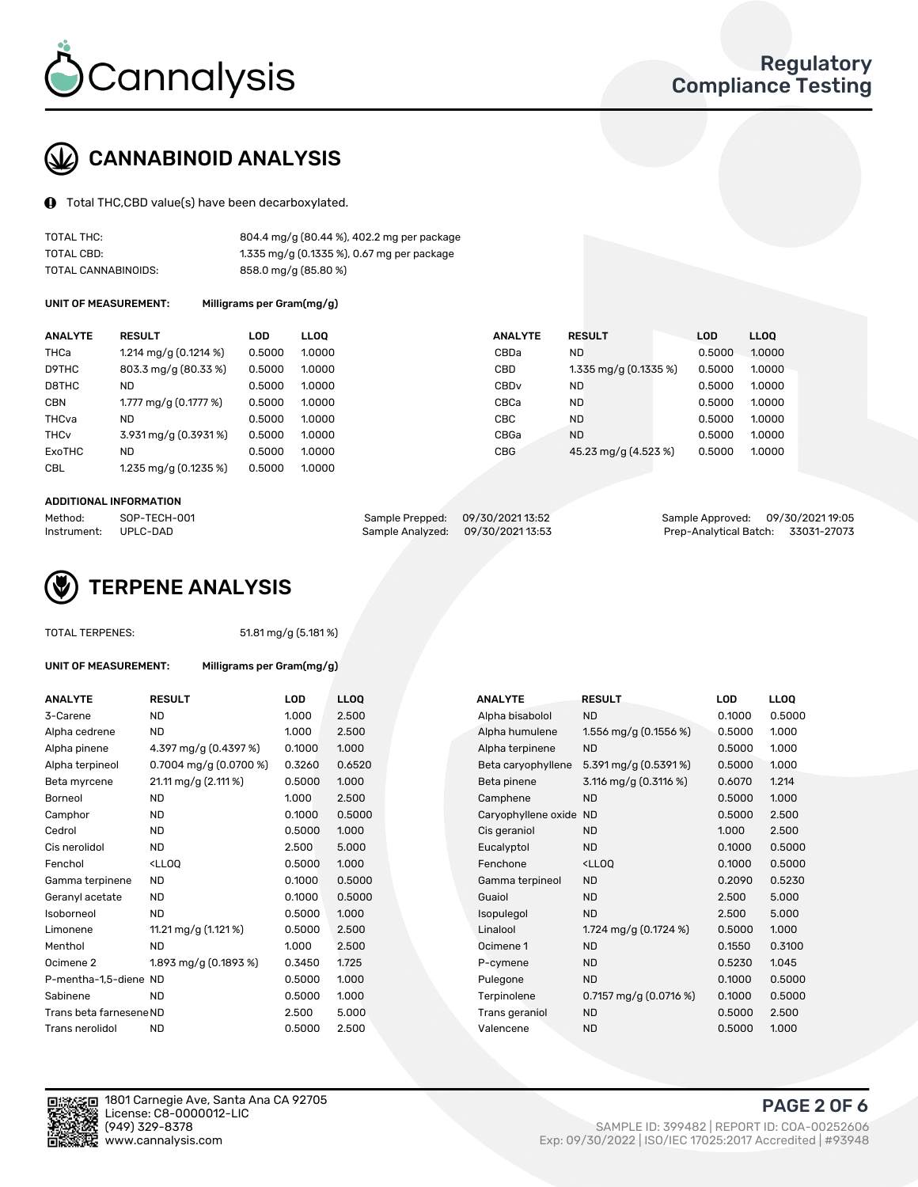

# CANNABINOID ANALYSIS

Total THC,CBD value(s) have been decarboxylated.

| TOTAL THC:          | 804.4 mg/g (80.44 %), 402.2 mg per package |
|---------------------|--------------------------------------------|
| TOTAL CBD:          | 1.335 mg/g (0.1335 %), 0.67 mg per package |
| TOTAL CANNABINOIDS: | 858.0 mg/g (85.80 %)                       |

UNIT OF MEASUREMENT: Milligrams per Gram(mg/g)

| <b>ANALYTE</b>         | <b>RESULT</b>                     | <b>LOD</b> | <b>LLOO</b> | <b>ANALYTE</b>   | <b>RESULT</b>          | <b>LOD</b> | <b>LLOO</b> |
|------------------------|-----------------------------------|------------|-------------|------------------|------------------------|------------|-------------|
| THCa                   | 1.214 mg/g $(0.1214\%)$           | 0.5000     | 1.0000      | CBDa             | <b>ND</b>              | 0.5000     | 1.0000      |
| D9THC                  | 803.3 mg/g (80.33 %)              | 0.5000     | 1.0000      | CBD              | 1.335 mg/g $(0.1335%)$ | 0.5000     | 1.0000      |
| D8THC                  | ND                                | 0.5000     | 1.0000      | CBD <sub>v</sub> | <b>ND</b>              | 0.5000     | 1.0000      |
| <b>CBN</b>             | 1.777 mg/g $(0.1777%)$            | 0.5000     | 1.0000      | CBCa             | <b>ND</b>              | 0.5000     | 1.0000      |
| THCva                  | <b>ND</b>                         | 0.5000     | 1.0000      | CBC              | <b>ND</b>              | 0.5000     | 1.0000      |
| <b>THC<sub>v</sub></b> | $3.931 \,\mathrm{mg/g}$ (0.3931%) | 0.5000     | 1.0000      | CBGa             | <b>ND</b>              | 0.5000     | 1.0000      |
| ExoTHC                 | <b>ND</b>                         | 0.5000     | 1.0000      | <b>CBG</b>       | 45.23 mg/g (4.523 %)   | 0.5000     | 1.0000      |
| <b>CBL</b>             | 1.235 mg/g $(0.1235\%)$           | 0.5000     | 1.0000      |                  |                        |            |             |

#### ADDITIONAL INFORMATION

| Method:              | SOP-TECH-001 | Sample Prepped: 09/30/202113:52  | Sample Approved: 09/30/2021 19:05  |  |
|----------------------|--------------|----------------------------------|------------------------------------|--|
| Instrument: UPLC-DAD |              | Sample Analyzed: 09/30/202113:53 | Prep-Analytical Batch: 33031-27073 |  |



51.81 mg/g (5.181 %)

| <b>ANALYTE</b>          | <b>RESULT</b>                                                                                                                   | <b>LOD</b> | <b>LLOQ</b> | <b>ANALYTE</b>         | <b>RESULT</b>                                       | LOD    | <b>LLOQ</b> |
|-------------------------|---------------------------------------------------------------------------------------------------------------------------------|------------|-------------|------------------------|-----------------------------------------------------|--------|-------------|
| 3-Carene                | <b>ND</b>                                                                                                                       | 1.000      | 2.500       | Alpha bisabolol        | <b>ND</b>                                           | 0.1000 | 0.5000      |
| Alpha cedrene           | <b>ND</b>                                                                                                                       | 1.000      | 2.500       | Alpha humulene         | 1.556 mg/g (0.1556 %)                               | 0.5000 | 1.000       |
| Alpha pinene            | 4.397 mg/g (0.4397 %)                                                                                                           | 0.1000     | 1.000       | Alpha terpinene        | <b>ND</b>                                           | 0.5000 | 1.000       |
| Alpha terpineol         | 0.7004 mg/g $(0.0700\%)$                                                                                                        | 0.3260     | 0.6520      | Beta caryophyllene     | 5.391 mg/g $(0.5391\%)$                             | 0.5000 | 1.000       |
| Beta myrcene            | 21.11 mg/g (2.111 %)                                                                                                            | 0.5000     | 1.000       | Beta pinene            | 3.116 mg/g $(0.3116%)$                              | 0.6070 | 1.214       |
| Borneol                 | <b>ND</b>                                                                                                                       | 1.000      | 2.500       | Camphene               | <b>ND</b>                                           | 0.5000 | 1.000       |
| Camphor                 | <b>ND</b>                                                                                                                       | 0.1000     | 0.5000      | Caryophyllene oxide ND |                                                     | 0.5000 | 2.500       |
| Cedrol                  | <b>ND</b>                                                                                                                       | 0.5000     | 1.000       | Cis geraniol           | <b>ND</b>                                           | 1.000  | 2.500       |
| Cis nerolidol           | <b>ND</b>                                                                                                                       | 2.500      | 5.000       | Eucalyptol             | <b>ND</b>                                           | 0.1000 | 0.5000      |
| Fenchol                 | <ll0q< td=""><td>0.5000</td><td>1.000</td><td>Fenchone</td><td><lloq< td=""><td>0.1000</td><td>0.5000</td></lloq<></td></ll0q<> | 0.5000     | 1.000       | Fenchone               | <lloq< td=""><td>0.1000</td><td>0.5000</td></lloq<> | 0.1000 | 0.5000      |
| Gamma terpinene         | ND.                                                                                                                             | 0.1000     | 0.5000      | Gamma terpineol        | <b>ND</b>                                           | 0.2090 | 0.5230      |
| Geranyl acetate         | ND                                                                                                                              | 0.1000     | 0.5000      | Guaiol                 | <b>ND</b>                                           | 2.500  | 5.000       |
| Isoborneol              | <b>ND</b>                                                                                                                       | 0.5000     | 1.000       | Isopulegol             | <b>ND</b>                                           | 2.500  | 5.000       |
| Limonene                | 11.21 mg/g (1.121 %)                                                                                                            | 0.5000     | 2.500       | Linalool               | 1.724 mg/g (0.1724 %)                               | 0.5000 | 1.000       |
| Menthol                 | ND                                                                                                                              | 1.000      | 2.500       | Ocimene 1              | <b>ND</b>                                           | 0.1550 | 0.3100      |
| Ocimene 2               | 1.893 mg/g (0.1893 %)                                                                                                           | 0.3450     | 1.725       | P-cymene               | <b>ND</b>                                           | 0.5230 | 1.045       |
| P-mentha-1,5-diene ND   |                                                                                                                                 | 0.5000     | 1.000       | Pulegone               | <b>ND</b>                                           | 0.1000 | 0.5000      |
| Sabinene                | <b>ND</b>                                                                                                                       | 0.5000     | 1.000       | Terpinolene            | 0.7157 mg/g $(0.0716\%)$                            | 0.1000 | 0.5000      |
| Trans beta farnesene ND |                                                                                                                                 | 2.500      | 5.000       | Trans geraniol         | <b>ND</b>                                           | 0.5000 | 2.500       |
| Trans nerolidol         | <b>ND</b>                                                                                                                       | 0.5000     | 2.500       | Valencene              | <b>ND</b>                                           | 0.5000 | 1.000       |

UNIT OF MEASUREMENT: Milligrams per Gram(mg/g)

| ANALYTE                 | <b>RESULT</b>                                                                                                                   | <b>LOD</b> | <b>LLOQ</b> | ANALYTE                | <b>RESULT</b>                                       | <b>LOD</b> | <b>LLOQ</b> |
|-------------------------|---------------------------------------------------------------------------------------------------------------------------------|------------|-------------|------------------------|-----------------------------------------------------|------------|-------------|
| 3-Carene                | <b>ND</b>                                                                                                                       | 1.000      | 2.500       | Alpha bisabolol        | <b>ND</b>                                           | 0.1000     | 0.5000      |
| Alpha cedrene           | <b>ND</b>                                                                                                                       | 1.000      | 2.500       | Alpha humulene         | 1.556 mg/g $(0.1556\%)$                             | 0.5000     | 1.000       |
| Alpha pinene            | 4.397 mg/g $(0.4397%)$                                                                                                          | 0.1000     | 1.000       | Alpha terpinene        | <b>ND</b>                                           | 0.5000     | 1.000       |
| Alpha terpineol         | 0.7004 mg/g $(0.0700\%)$                                                                                                        | 0.3260     | 0.6520      | Beta caryophyllene     | 5.391 mg/g $(0.5391\%)$                             | 0.5000     | 1.000       |
| Beta myrcene            | 21.11 mg/g (2.111 %)                                                                                                            | 0.5000     | 1.000       | Beta pinene            | 3.116 mg/g (0.3116 %)                               | 0.6070     | 1.214       |
| Borneol                 | <b>ND</b>                                                                                                                       | 1.000      | 2.500       | Camphene               | <b>ND</b>                                           | 0.5000     | 1.000       |
| Camphor                 | <b>ND</b>                                                                                                                       | 0.1000     | 0.5000      | Caryophyllene oxide ND |                                                     | 0.5000     | 2.500       |
| Cedrol                  | <b>ND</b>                                                                                                                       | 0.5000     | 1.000       | Cis geraniol           | <b>ND</b>                                           | 1.000      | 2.500       |
| Cis nerolidol           | <b>ND</b>                                                                                                                       | 2.500      | 5.000       | Eucalyptol             | <b>ND</b>                                           | 0.1000     | 0.5000      |
| Fenchol                 | <ll0q< td=""><td>0.5000</td><td>1.000</td><td>Fenchone</td><td><lloq< td=""><td>0.1000</td><td>0.5000</td></lloq<></td></ll0q<> | 0.5000     | 1.000       | Fenchone               | <lloq< td=""><td>0.1000</td><td>0.5000</td></lloq<> | 0.1000     | 0.5000      |
| Gamma terpinene         | <b>ND</b>                                                                                                                       | 0.1000     | 0.5000      | Gamma terpineol        | <b>ND</b>                                           | 0.2090     | 0.5230      |
| Geranyl acetate         | <b>ND</b>                                                                                                                       | 0.1000     | 0.5000      | Guaiol                 | <b>ND</b>                                           | 2.500      | 5.000       |
| Isoborneol              | <b>ND</b>                                                                                                                       | 0.5000     | 1.000       | Isopulegol             | <b>ND</b>                                           | 2.500      | 5.000       |
| Limonene                | 11.21 mg/g $(1.121\%)$                                                                                                          | 0.5000     | 2.500       | Linalool               | 1.724 mg/g $(0.1724 \%)$                            | 0.5000     | 1.000       |
| Menthol                 | <b>ND</b>                                                                                                                       | 1.000      | 2.500       | Ocimene 1              | <b>ND</b>                                           | 0.1550     | 0.3100      |
| Ocimene 2               | 1.893 mg/g $(0.1893\%)$                                                                                                         | 0.3450     | 1.725       | P-cymene               | <b>ND</b>                                           | 0.5230     | 1.045       |
| P-mentha-1,5-diene ND   |                                                                                                                                 | 0.5000     | 1.000       | Pulegone               | <b>ND</b>                                           | 0.1000     | 0.5000      |
| Sabinene                | <b>ND</b>                                                                                                                       | 0.5000     | 1.000       | Terpinolene            | 0.7157 mg/g $(0.0716\%)$                            | 0.1000     | 0.5000      |
| Trans beta farnesene ND |                                                                                                                                 | 2.500      | 5.000       | Trans geraniol         | <b>ND</b>                                           | 0.5000     | 2.500       |
| Trans nerolidol         | <b>ND</b>                                                                                                                       | 0.5000     | 2.500       | Valencene              | <b>ND</b>                                           | 0.5000     | 1.000       |



1801 Carnegie Ave, Santa Ana CA 92705 License: C8-0000012-LIC<br>(949) 329-8378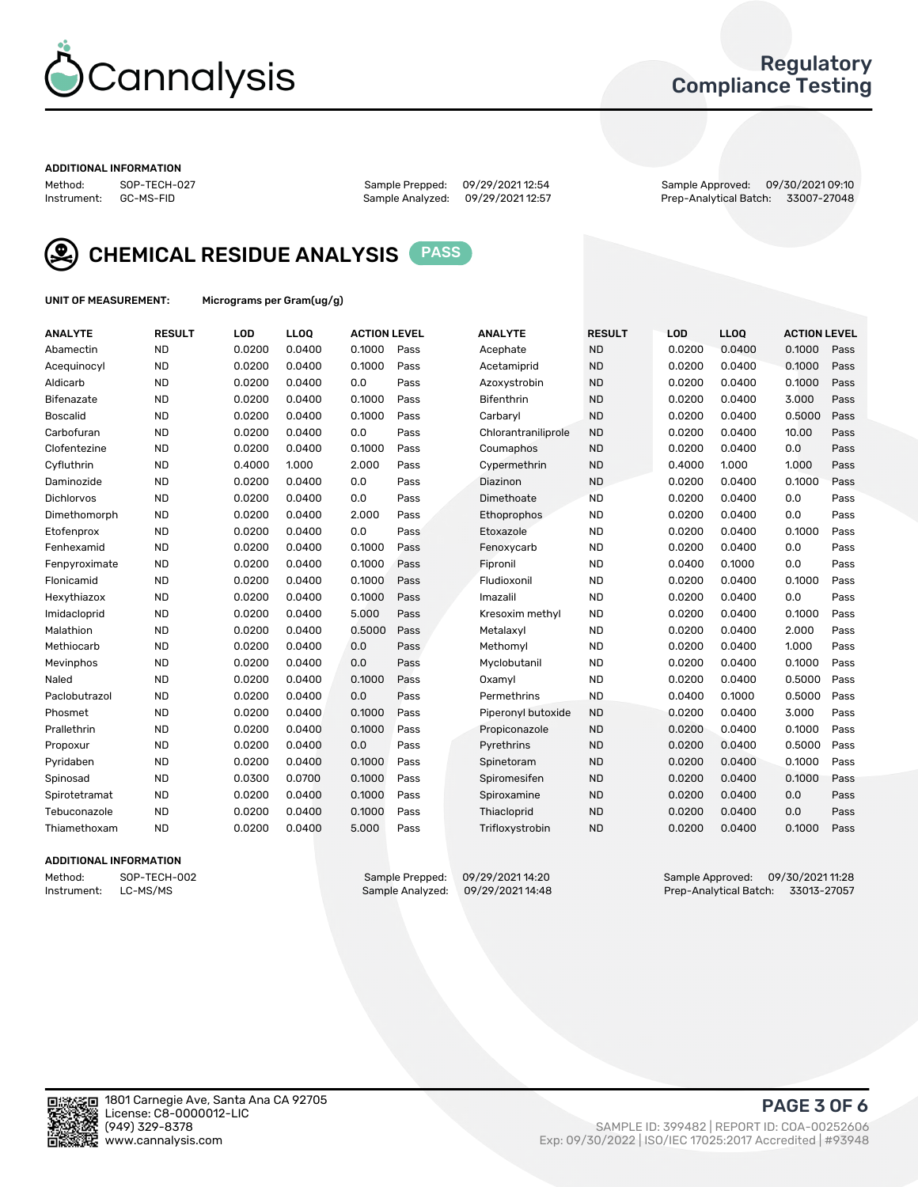

### Regulatory Compliance Testing

#### ADDITIONAL INFORMATION

Method: SOP-TECH-027 Sample Prepped: 09/29/2021 12:54 Sample Approved: 09/30/2021 09:10 Prep-Analytical Batch: 33007-27048



CHEMICAL RESIDUE ANALYSIS PASS

UNIT OF MEASUREMENT: Micrograms per Gram(ug/g)

| <b>ANALYTE</b>    | <b>RESULT</b> | LOD    | LL <sub>OO</sub> | <b>ACTION LEVEL</b> |      | <b>ANALYTE</b>      | <b>RESULT</b> | LOD    | <b>LLOQ</b> | <b>ACTION LEVEL</b> |      |
|-------------------|---------------|--------|------------------|---------------------|------|---------------------|---------------|--------|-------------|---------------------|------|
| Abamectin         | <b>ND</b>     | 0.0200 | 0.0400           | 0.1000              | Pass | Acephate            | <b>ND</b>     | 0.0200 | 0.0400      | 0.1000              | Pass |
| Acequinocyl       | <b>ND</b>     | 0.0200 | 0.0400           | 0.1000              | Pass | Acetamiprid         | <b>ND</b>     | 0.0200 | 0.0400      | 0.1000              | Pass |
| Aldicarb          | <b>ND</b>     | 0.0200 | 0.0400           | 0.0                 | Pass | Azoxystrobin        | <b>ND</b>     | 0.0200 | 0.0400      | 0.1000              | Pass |
| Bifenazate        | <b>ND</b>     | 0.0200 | 0.0400           | 0.1000              | Pass | <b>Bifenthrin</b>   | <b>ND</b>     | 0.0200 | 0.0400      | 3.000               | Pass |
| <b>Boscalid</b>   | <b>ND</b>     | 0.0200 | 0.0400           | 0.1000              | Pass | Carbaryl            | <b>ND</b>     | 0.0200 | 0.0400      | 0.5000              | Pass |
| Carbofuran        | <b>ND</b>     | 0.0200 | 0.0400           | 0.0                 | Pass | Chlorantraniliprole | <b>ND</b>     | 0.0200 | 0.0400      | 10.00               | Pass |
| Clofentezine      | <b>ND</b>     | 0.0200 | 0.0400           | 0.1000              | Pass | Coumaphos           | <b>ND</b>     | 0.0200 | 0.0400      | 0.0                 | Pass |
| Cyfluthrin        | <b>ND</b>     | 0.4000 | 1.000            | 2.000               | Pass | Cypermethrin        | <b>ND</b>     | 0.4000 | 1.000       | 1.000               | Pass |
| Daminozide        | <b>ND</b>     | 0.0200 | 0.0400           | 0.0                 | Pass | Diazinon            | <b>ND</b>     | 0.0200 | 0.0400      | 0.1000              | Pass |
| <b>Dichlorvos</b> | <b>ND</b>     | 0.0200 | 0.0400           | 0.0                 | Pass | Dimethoate          | <b>ND</b>     | 0.0200 | 0.0400      | 0.0                 | Pass |
| Dimethomorph      | <b>ND</b>     | 0.0200 | 0.0400           | 2.000               | Pass | Ethoprophos         | <b>ND</b>     | 0.0200 | 0.0400      | 0.0                 | Pass |
| Etofenprox        | <b>ND</b>     | 0.0200 | 0.0400           | 0.0                 | Pass | Etoxazole           | <b>ND</b>     | 0.0200 | 0.0400      | 0.1000              | Pass |
| Fenhexamid        | <b>ND</b>     | 0.0200 | 0.0400           | 0.1000              | Pass | Fenoxycarb          | <b>ND</b>     | 0.0200 | 0.0400      | 0.0                 | Pass |
| Fenpyroximate     | <b>ND</b>     | 0.0200 | 0.0400           | 0.1000              | Pass | Fipronil            | <b>ND</b>     | 0.0400 | 0.1000      | 0.0                 | Pass |
| Flonicamid        | <b>ND</b>     | 0.0200 | 0.0400           | 0.1000              | Pass | Fludioxonil         | <b>ND</b>     | 0.0200 | 0.0400      | 0.1000              | Pass |
| Hexythiazox       | <b>ND</b>     | 0.0200 | 0.0400           | 0.1000              | Pass | Imazalil            | <b>ND</b>     | 0.0200 | 0.0400      | 0.0                 | Pass |
| Imidacloprid      | <b>ND</b>     | 0.0200 | 0.0400           | 5.000               | Pass | Kresoxim methyl     | <b>ND</b>     | 0.0200 | 0.0400      | 0.1000              | Pass |
| Malathion         | <b>ND</b>     | 0.0200 | 0.0400           | 0.5000              | Pass | Metalaxyl           | <b>ND</b>     | 0.0200 | 0.0400      | 2.000               | Pass |
| Methiocarb        | <b>ND</b>     | 0.0200 | 0.0400           | 0.0                 | Pass | Methomyl            | <b>ND</b>     | 0.0200 | 0.0400      | 1.000               | Pass |
| Mevinphos         | <b>ND</b>     | 0.0200 | 0.0400           | 0.0                 | Pass | Myclobutanil        | <b>ND</b>     | 0.0200 | 0.0400      | 0.1000              | Pass |
| Naled             | <b>ND</b>     | 0.0200 | 0.0400           | 0.1000              | Pass | Oxamyl              | <b>ND</b>     | 0.0200 | 0.0400      | 0.5000              | Pass |
| Paclobutrazol     | <b>ND</b>     | 0.0200 | 0.0400           | 0.0                 | Pass | Permethrins         | <b>ND</b>     | 0.0400 | 0.1000      | 0.5000              | Pass |
| Phosmet           | <b>ND</b>     | 0.0200 | 0.0400           | 0.1000              | Pass | Piperonyl butoxide  | <b>ND</b>     | 0.0200 | 0.0400      | 3.000               | Pass |
| Prallethrin       | <b>ND</b>     | 0.0200 | 0.0400           | 0.1000              | Pass | Propiconazole       | <b>ND</b>     | 0.0200 | 0.0400      | 0.1000              | Pass |
| Propoxur          | <b>ND</b>     | 0.0200 | 0.0400           | 0.0                 | Pass | Pyrethrins          | <b>ND</b>     | 0.0200 | 0.0400      | 0.5000              | Pass |
| Pyridaben         | <b>ND</b>     | 0.0200 | 0.0400           | 0.1000              | Pass | Spinetoram          | <b>ND</b>     | 0.0200 | 0.0400      | 0.1000              | Pass |
| Spinosad          | <b>ND</b>     | 0.0300 | 0.0700           | 0.1000              | Pass | Spiromesifen        | <b>ND</b>     | 0.0200 | 0.0400      | 0.1000              | Pass |
| Spirotetramat     | <b>ND</b>     | 0.0200 | 0.0400           | 0.1000              | Pass | Spiroxamine         | <b>ND</b>     | 0.0200 | 0.0400      | 0.0                 | Pass |
| Tebuconazole      | <b>ND</b>     | 0.0200 | 0.0400           | 0.1000              | Pass | Thiacloprid         | <b>ND</b>     | 0.0200 | 0.0400      | 0.0                 | Pass |
| Thiamethoxam      | <b>ND</b>     | 0.0200 | 0.0400           | 5.000               | Pass | Trifloxystrobin     | <b>ND</b>     | 0.0200 | 0.0400      | 0.1000              | Pass |
|                   |               |        |                  |                     |      |                     |               |        |             |                     |      |

### ADDITIONAL INFORMATION

Method: SOP-TECH-002 Sample Prepped: 09/29/2021 14:20 Sample Approved: 09/30/2021 11:28<br>Instrument: LC-MS/MS Sample Analyzed: 09/29/2021 14:48 Prep-Analytical Batch: 33013-27057 Prep-Analytical Batch: 33013-27057

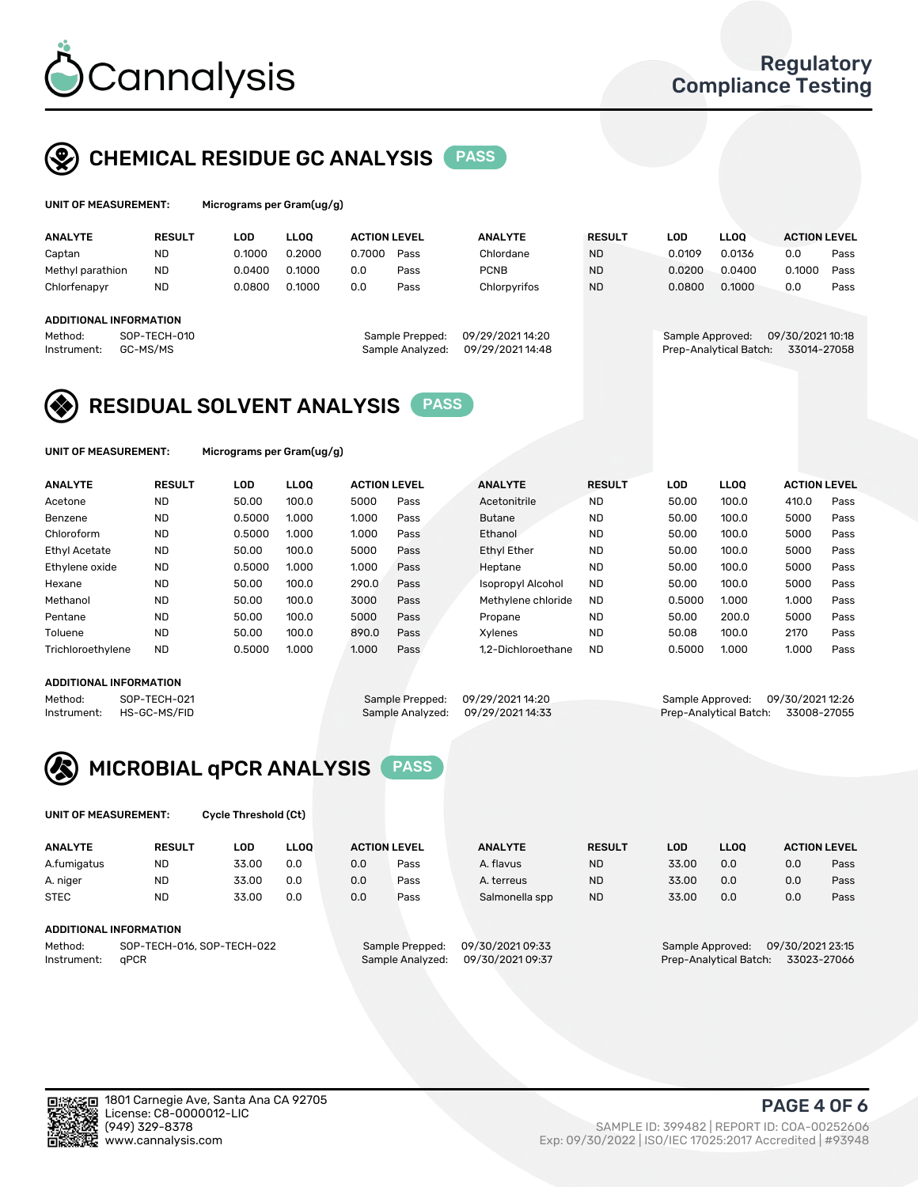

## CHEMICAL RESIDUE GC ANALYSIS PASS

| Microg |
|--------|
|        |

grams per Gram(ug/g)

| <b>ANALYTE</b>                | <b>RESULT</b> | LOD    | <b>LLOO</b> | <b>ACTION LEVEL</b> |                  | <b>ANALYTE</b>   | <b>RESULT</b> | LOD                    | <b>LLOO</b> | <b>ACTION LEVEL</b> |      |
|-------------------------------|---------------|--------|-------------|---------------------|------------------|------------------|---------------|------------------------|-------------|---------------------|------|
| Captan                        | <b>ND</b>     | 0.1000 | 0.2000      | 0.7000              | Pass             | Chlordane        | <b>ND</b>     | 0.0109                 | 0.0136      | 0.0                 | Pass |
| Methyl parathion              | <b>ND</b>     | 0.0400 | 0.1000      | 0.0                 | Pass             | <b>PCNB</b>      | <b>ND</b>     | 0.0200                 | 0.0400      | 0.1000              | Pass |
| Chlorfenapyr                  | <b>ND</b>     | 0.0800 | 0.1000      | 0.0                 | Pass             | Chlorpyrifos     | <b>ND</b>     | 0.0800                 | 0.1000      | 0.0                 | Pass |
|                               |               |        |             |                     |                  |                  |               |                        |             |                     |      |
| <b>ADDITIONAL INFORMATION</b> |               |        |             |                     |                  |                  |               |                        |             |                     |      |
| Method:                       | SOP-TECH-010  |        |             |                     | Sample Prepped:  | 09/29/2021 14:20 |               | Sample Approved:       |             | 09/30/202110:18     |      |
| Instrument:                   | GC-MS/MS      |        |             |                     | Sample Analyzed: | 09/29/2021 14:48 |               | Prep-Analytical Batch: |             | 33014-27058         |      |
|                               |               |        |             |                     |                  |                  |               |                        |             |                     |      |

### RESIDUAL SOLVENT ANALYSIS PASS

UNIT OF MEASUREMENT: Micrograms per Gram(ug/g)

| <b>ANALYTE</b>       | <b>RESULT</b> | <b>LOD</b> | <b>LLOO</b> | <b>ACTION LEVEL</b> |      | <b>ANALYTE</b>           | <b>RESULT</b> | LOD    | <b>LLOO</b> | <b>ACTION LEVEL</b> |      |
|----------------------|---------------|------------|-------------|---------------------|------|--------------------------|---------------|--------|-------------|---------------------|------|
| Acetone              | <b>ND</b>     | 50.00      | 100.0       | 5000                | Pass | Acetonitrile             | <b>ND</b>     | 50.00  | 100.0       | 410.0               | Pass |
| Benzene              | <b>ND</b>     | 0.5000     | 1.000       | 1.000               | Pass | <b>Butane</b>            | <b>ND</b>     | 50.00  | 100.0       | 5000                | Pass |
| Chloroform           | <b>ND</b>     | 0.5000     | 1.000       | 1.000               | Pass | Ethanol                  | <b>ND</b>     | 50.00  | 100.0       | 5000                | Pass |
| <b>Ethyl Acetate</b> | <b>ND</b>     | 50.00      | 100.0       | 5000                | Pass | <b>Ethyl Ether</b>       | <b>ND</b>     | 50.00  | 100.0       | 5000                | Pass |
| Ethylene oxide       | <b>ND</b>     | 0.5000     | 1.000       | 1.000               | Pass | Heptane                  | <b>ND</b>     | 50.00  | 100.0       | 5000                | Pass |
| Hexane               | <b>ND</b>     | 50.00      | 100.0       | 290.0               | Pass | <b>Isopropyl Alcohol</b> | <b>ND</b>     | 50.00  | 100.0       | 5000                | Pass |
| Methanol             | <b>ND</b>     | 50.00      | 100.0       | 3000                | Pass | Methylene chloride       | <b>ND</b>     | 0.5000 | 1.000       | 1.000               | Pass |
| Pentane              | <b>ND</b>     | 50.00      | 100.0       | 5000                | Pass | Propane                  | <b>ND</b>     | 50.00  | 200.0       | 5000                | Pass |
| Toluene              | <b>ND</b>     | 50.00      | 100.0       | 890.0               | Pass | Xvlenes                  | <b>ND</b>     | 50.08  | 100.0       | 2170                | Pass |
| Trichloroethylene    | <b>ND</b>     | 0.5000     | 1.000       | 1.000               | Pass | 1.2-Dichloroethane       | <b>ND</b>     | 0.5000 | 1.000       | 1.000               | Pass |

### ADDITIONAL INFORMATION

Method: SOP-TECH-021 Sample Prepped: 09/29/2021 14:20 Sample Approved: 09/30/2021 12:26<br>Instrument: HS-GC-MS/FID Sample Analyzed: 09/29/2021 14:33 Prep-Analytical Batch: 33008-27055 Prep-Analytical Batch: 33008-27055



UNIT OF MEASUREMENT: Cycle Threshold (Ct)

| <b>ANALYTE</b> | <b>RESULT</b>              | LOD   | <b>LLOO</b> | <b>ACTION LEVEL</b> |                 | <b>ANALYTE</b>  | <b>RESULT</b> | LOD              | <b>LLOO</b> |                  | <b>ACTION LEVEL</b> |
|----------------|----------------------------|-------|-------------|---------------------|-----------------|-----------------|---------------|------------------|-------------|------------------|---------------------|
| A.fumigatus    | <b>ND</b>                  | 33.00 | 0.0         | 0.0                 | Pass            | A. flavus       | <b>ND</b>     | 33.00            | 0.0         | 0.0              | Pass                |
| A. niger       | <b>ND</b>                  | 33.00 | 0.0         | 0.0                 | Pass            | A. terreus      | <b>ND</b>     | 33.00            | 0.0         | 0.0              | Pass                |
| <b>STEC</b>    | <b>ND</b>                  | 33.00 | 0.0         | 0.0                 | Pass            | Salmonella spp  | <b>ND</b>     | 33.00            | 0.0         | 0.0              | Pass                |
|                | ADDITIONAL INFORMATION     |       |             |                     |                 |                 |               |                  |             |                  |                     |
| Method:        | SOP-TECH-016, SOP-TECH-022 |       |             |                     | Sample Prepped: | 09/30/202109:33 |               | Sample Approved: |             | 09/30/2021 23:15 |                     |

Instrument: qPCR Sample Analyzed: 09/30/2021 09:37 Prep-Analytical Batch: 33023-27066

PAGE 4 OF 6

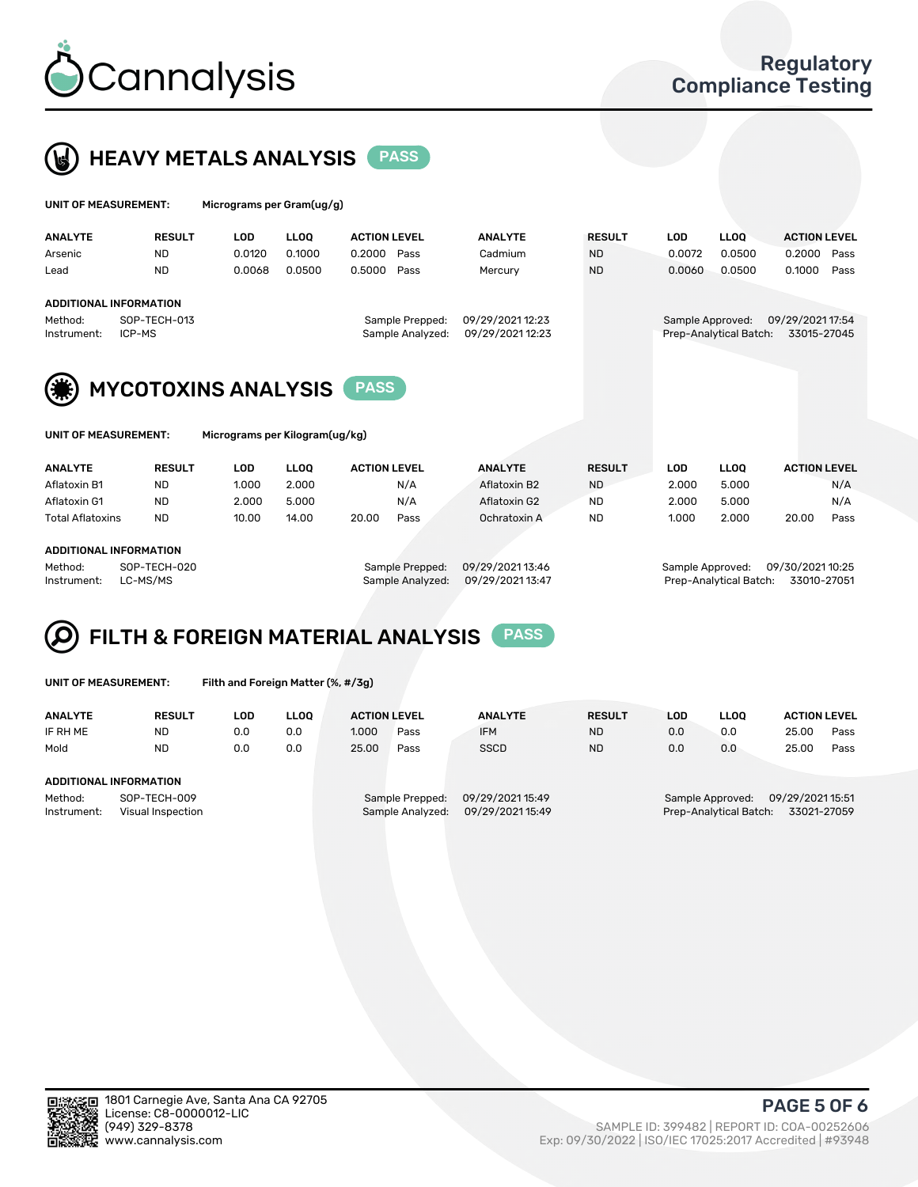



| UNIT OF MEASUREMENT:   |                            |            | Micrograms per Gram(ug/g) |                                     |                                      |               |            |                                            |                                 |      |  |
|------------------------|----------------------------|------------|---------------------------|-------------------------------------|--------------------------------------|---------------|------------|--------------------------------------------|---------------------------------|------|--|
| <b>ANALYTE</b>         | <b>RESULT</b>              | <b>LOD</b> | <b>LLOO</b>               | <b>ACTION LEVEL</b>                 | <b>ANALYTE</b>                       | <b>RESULT</b> | <b>LOD</b> | <b>LLOO</b>                                | <b>ACTION LEVEL</b>             |      |  |
| Arsenic                | <b>ND</b>                  | 0.0120     | 0.1000                    | 0.2000<br>Pass                      | Cadmium                              | <b>ND</b>     | 0.0072     | 0.0500                                     | 0.2000                          | Pass |  |
| Lead                   | <b>ND</b>                  | 0.0068     | 0.0500                    | 0.5000<br>Pass                      | Mercury                              | <b>ND</b>     | 0.0060     | 0.0500                                     | 0.1000                          | Pass |  |
|                        | ADDITIONAL INFORMATION     |            |                           |                                     |                                      |               |            |                                            |                                 |      |  |
| Method:<br>Instrument: | SOP-TECH-013<br>ICP-MS     |            |                           | Sample Prepped:<br>Sample Analyzed: | 09/29/2021 12:23<br>09/29/2021 12:23 |               |            | Sample Approved:<br>Prep-Analytical Batch: | 09/29/2021 17:54<br>33015-27045 |      |  |
| (楽)                    | <b>MYCOTOXINS ANALYSIS</b> |            |                           | <b>PASS</b>                         |                                      |               |            |                                            |                                 |      |  |



UNIT OF MEASUREMENT: Micrograms per Kilogram(ug/kg)

| <b>ANALYTE</b>          | <b>RESULT</b> | LOD   | <b>LLOO</b> | <b>ACTION LEVEL</b> |      | <b>ANALYTE</b> |           | <b>RESULT</b> | LOD   | <b>LLOO</b> |       | <b>ACTION LEVEL</b> |
|-------------------------|---------------|-------|-------------|---------------------|------|----------------|-----------|---------------|-------|-------------|-------|---------------------|
| Aflatoxin B1            | <b>ND</b>     | 1.000 | 2.000       |                     | N/A  | Aflatoxin B2   | <b>ND</b> |               | 2.000 | 5.000       |       | N/A                 |
| Aflatoxin G1            | <b>ND</b>     | 2.000 | 5.000       |                     | N/A  | Aflatoxin G2   | <b>ND</b> |               | 2.000 | 5.000       |       | N/A                 |
| <b>Total Aflatoxins</b> | <b>ND</b>     | 10.00 | 14.00       | 20.00               | Pass | Ochratoxin A   | <b>ND</b> |               | 1.000 | 2.000       | 20.00 | Pass                |
|                         |               |       |             |                     |      |                |           |               |       |             |       |                     |
| ADDITIONAL INFODMATION  |               |       |             |                     |      |                |           |               |       |             |       |                     |

#### ADDITIONAL INFORMATION

Method: SOP-TECH-020 Sample Prepped: 09/29/2021 13:46 Sample Approved: 09/30/2021 10:25 Instrument: LC-MS/MS Sample Analyzed: 09/29/2021 13:47 Prep-Analytical Batch: 33010-27051

# FILTH & FOREIGN MATERIAL ANALYSIS PASS

UNIT OF MEASUREMENT: Filth and Foreign Matter (%, #/3g)

| <b>ANALYTE</b>                                              | <b>RESULT</b> | LOD. | <b>LLOO</b> | <b>ACTION LEVEL</b>                 |      | <b>ANALYTE</b>                       | <b>RESULT</b> | LOD                                                                          | <b>LLOO</b> | <b>ACTION LEVEL</b> |      |
|-------------------------------------------------------------|---------------|------|-------------|-------------------------------------|------|--------------------------------------|---------------|------------------------------------------------------------------------------|-------------|---------------------|------|
| IF RH ME                                                    | <b>ND</b>     | 0.0  | 0.0         | 1.000                               | Pass | <b>IFM</b>                           | <b>ND</b>     | 0.0                                                                          | 0.0         | 25.00               | Pass |
| Mold                                                        | <b>ND</b>     | 0.0  | 0.0         | 25.00                               | Pass | <b>SSCD</b>                          | <b>ND</b>     | 0.0                                                                          | 0.0         | 25.00               | Pass |
| ADDITIONAL INFORMATION                                      |               |      |             |                                     |      |                                      |               |                                                                              |             |                     |      |
| Method:<br>SOP-TECH-009<br>Instrument:<br>Visual Inspection |               |      |             | Sample Prepped:<br>Sample Analyzed: |      | 09/29/2021 15:49<br>09/29/2021 15:49 |               | 09/29/202115:51<br>Sample Approved:<br>Prep-Analytical Batch:<br>33021-27059 |             |                     |      |